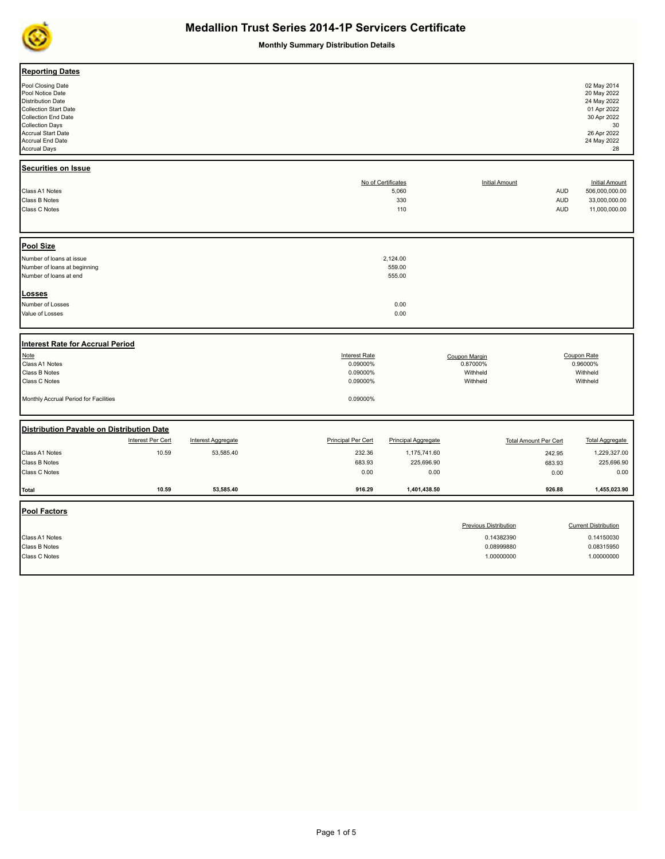

**Monthly Summary Distribution Details**

| <b>Reporting Dates</b><br>Pool Closing Date<br>Pool Notice Date<br><b>Distribution Date</b><br><b>Collection Start Date</b><br><b>Collection End Date</b><br><b>Collection Days</b><br><b>Accrual Start Date</b><br>Accrual End Date<br><b>Accrual Days</b> |                                        |                                                                      |                                                                  |                                                   |                                                          | 02 May 2014<br>20 May 2022<br>24 May 2022<br>01 Apr 2022<br>30 Apr 2022<br>30<br>26 Apr 2022<br>24 May 2022<br>28 |
|-------------------------------------------------------------------------------------------------------------------------------------------------------------------------------------------------------------------------------------------------------------|----------------------------------------|----------------------------------------------------------------------|------------------------------------------------------------------|---------------------------------------------------|----------------------------------------------------------|-------------------------------------------------------------------------------------------------------------------|
| <b>Securities on Issue</b><br>Class A1 Notes<br>Class B Notes<br>Class C Notes                                                                                                                                                                              |                                        |                                                                      | No of Certificates<br>5,060<br>330<br>110                        | <b>Initial Amount</b>                             | <b>AUD</b><br><b>AUD</b><br>AUD                          | <b>Initial Amount</b><br>506,000,000.00<br>33,000,000.00<br>11,000,000.00                                         |
| Pool Size<br>Number of loans at issue<br>Number of loans at beginning<br>Number of loans at end                                                                                                                                                             |                                        |                                                                      | 2,124.00<br>559.00<br>555.00                                     |                                                   |                                                          |                                                                                                                   |
| <b>Losses</b><br>Number of Losses<br>Value of Losses                                                                                                                                                                                                        |                                        |                                                                      | 0.00<br>0.00                                                     |                                                   |                                                          |                                                                                                                   |
| Interest Rate for Accrual Period<br>Note<br>Class A1 Notes<br>Class B Notes<br>Class C Notes<br>Monthly Accrual Period for Facilities                                                                                                                       |                                        | <b>Interest Rate</b><br>0.09000%<br>0.09000%<br>0.09000%<br>0.09000% |                                                                  | Coupon Margin<br>0.87000%<br>Withheld<br>Withheld |                                                          | Coupon Rate<br>0.96000%<br>Withheld<br>Withheld                                                                   |
| Distribution Payable on Distribution Date                                                                                                                                                                                                                   |                                        |                                                                      |                                                                  |                                                   |                                                          |                                                                                                                   |
| Interest Per Cert<br>10.59<br>Class A1 Notes<br>Class B Notes<br>Class C Notes                                                                                                                                                                              | <b>Interest Aggregate</b><br>53,585.40 | <b>Principal Per Cert</b><br>232.36<br>683.93<br>0.00                | <b>Principal Aggregate</b><br>1,175,741.60<br>225,696.90<br>0.00 |                                                   | <b>Total Amount Per Cert</b><br>242.95<br>683.93<br>0.00 | <b>Total Aggregate</b><br>1,229,327.00<br>225,696.90<br>0.00                                                      |
| 10.59<br><b>Total</b>                                                                                                                                                                                                                                       | 53,585.40                              | 916.29                                                               | 1,401,438.50                                                     |                                                   | 926.88                                                   | 1,455,023.90                                                                                                      |
| <b>Pool Factors</b><br>Class A1 Notes                                                                                                                                                                                                                       |                                        |                                                                      |                                                                  | <b>Previous Distribution</b><br>0.14382390        |                                                          | <b>Current Distribution</b><br>0.14150030                                                                         |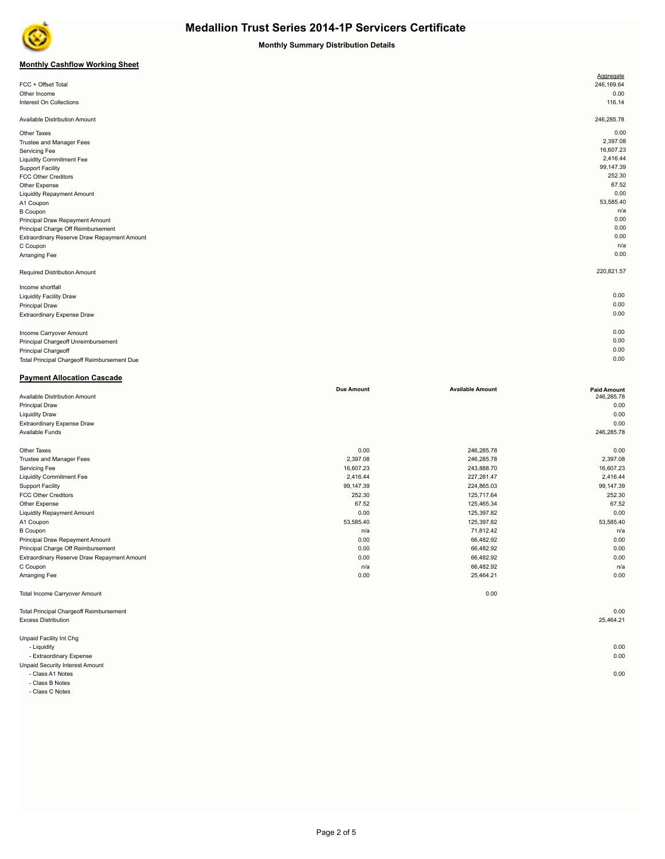

**Monthly Summary Distribution Details**

## **Monthly Cashflow Working Sheet**

|                                             | Aggregate  |  |
|---------------------------------------------|------------|--|
| FCC + Offset Total                          | 246,169.64 |  |
| Other Income                                | 0.00       |  |
| Interest On Collections                     | 116.14     |  |
|                                             |            |  |
| Available Distribution Amount               | 246,285.78 |  |
| Other Taxes                                 | 0.00       |  |
| Trustee and Manager Fees                    | 2,397.08   |  |
| Servicing Fee                               | 16,607.23  |  |
| <b>Liquidity Commitment Fee</b>             | 2,416.44   |  |
| <b>Support Facility</b>                     | 99,147.39  |  |
| <b>FCC Other Creditors</b>                  | 252.30     |  |
| Other Expense                               | 67.52      |  |
| <b>Liquidity Repayment Amount</b>           | 0.00       |  |
| A1 Coupon                                   | 53,585.40  |  |
| <b>B</b> Coupon                             | n/a        |  |
| Principal Draw Repayment Amount             | 0.00       |  |
| Principal Charge Off Reimbursement          | 0.00       |  |
| Extraordinary Reserve Draw Repayment Amount | 0.00       |  |
| C Coupon                                    | n/a        |  |
| Arranging Fee                               | 0.00       |  |
| Required Distribution Amount                | 220,821.57 |  |
| Income shortfall                            |            |  |
| <b>Liquidity Facility Draw</b>              | 0.00       |  |
| <b>Principal Draw</b>                       | 0.00       |  |
| Extraordinary Expense Draw                  | 0.00       |  |
|                                             | 0.00       |  |
| Income Carryover Amount                     | 0.00       |  |
| Principal Chargeoff Unreimbursement         |            |  |

Principal Chargeoff 0.00 Total Principal Chargeoff Reimbursement Due 0.00

| <b>Payment Allocation Cascade</b>              |                   |                         |                    |
|------------------------------------------------|-------------------|-------------------------|--------------------|
|                                                | <b>Due Amount</b> | <b>Available Amount</b> | <b>Paid Amount</b> |
| Available Distribution Amount                  |                   |                         | 246,285.78         |
| <b>Principal Draw</b>                          |                   |                         | 0.00               |
| <b>Liquidity Draw</b>                          |                   |                         | 0.00               |
| Extraordinary Expense Draw                     |                   |                         | 0.00               |
| Available Funds                                |                   |                         | 246,285.78         |
| Other Taxes                                    | 0.00              | 246,285.78              | 0.00               |
| Trustee and Manager Fees                       | 2,397.08          | 246,285.78              | 2,397.08           |
| Servicing Fee                                  | 16,607.23         | 243,888.70              | 16,607.23          |
| <b>Liquidity Commitment Fee</b>                | 2,416.44          | 227,281.47              | 2,416.44           |
| <b>Support Facility</b>                        | 99,147.39         | 224,865.03              | 99,147.39          |
| <b>FCC Other Creditors</b>                     | 252.30            | 125,717.64              | 252.30             |
| Other Expense                                  | 67.52             | 125,465.34              | 67.52              |
| <b>Liquidity Repayment Amount</b>              | 0.00              | 125,397.82              | 0.00               |
| A1 Coupon                                      | 53,585.40         | 125,397.82              | 53,585.40          |
| <b>B</b> Coupon                                | n/a               | 71,812.42               | n/a                |
| Principal Draw Repayment Amount                | 0.00              | 66,482.92               | 0.00               |
| Principal Charge Off Reimbursement             | 0.00              | 66,482.92               | 0.00               |
| Extraordinary Reserve Draw Repayment Amount    | 0.00              | 66,482.92               | 0.00               |
| C Coupon                                       | n/a               | 66,482.92               | n/a                |
| Arranging Fee                                  | 0.00              | 25,464.21               | 0.00               |
| Total Income Carryover Amount                  |                   | 0.00                    |                    |
| <b>Total Principal Chargeoff Reimbursement</b> |                   |                         | 0.00               |
| <b>Excess Distribution</b>                     |                   |                         | 25,464.21          |
| Unpaid Facility Int Chg                        |                   |                         |                    |
| - Liquidity                                    |                   |                         | 0.00               |
| - Extraordinary Expense                        |                   |                         | 0.00               |
| <b>Unpaid Security Interest Amount</b>         |                   |                         |                    |

- Class A1 Notes 0.00

- Class B Notes
- Class C Notes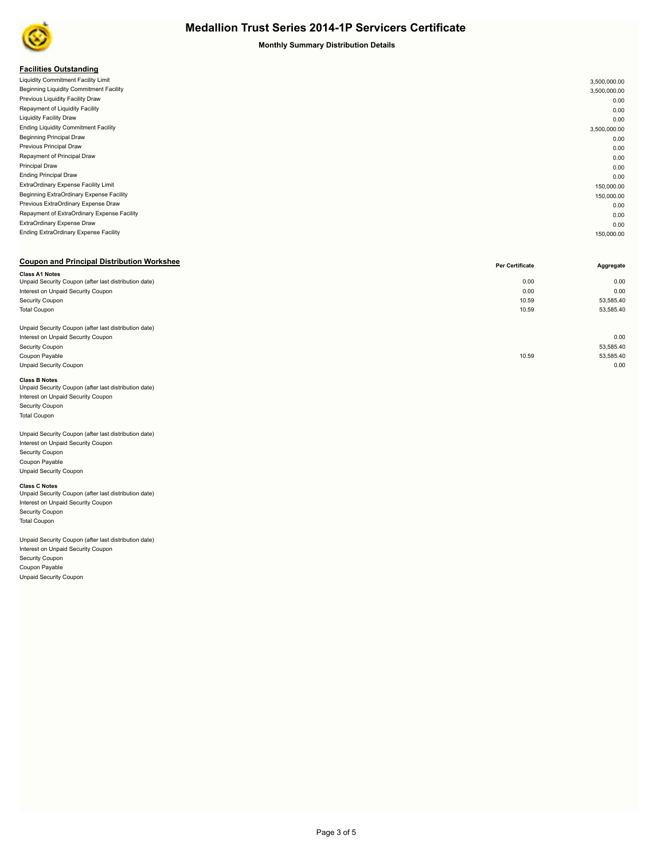

## **Monthly Summary Distribution Details**

## **Facilities Outstanding**

| . acmacs outstanding                         |              |
|----------------------------------------------|--------------|
| Liquidity Commitment Facility Limit          | 3,500,000.00 |
| Beginning Liquidity Commitment Facility      | 3,500,000.00 |
| Previous Liquidity Facility Draw             | 0.00         |
| Repayment of Liquidity Facility              | 0.00         |
| <b>Liquidity Facility Draw</b>               | 0.00         |
| <b>Ending Liquidity Commitment Facility</b>  | 3,500,000.00 |
| <b>Beginning Principal Draw</b>              | 0.00         |
| Previous Principal Draw                      | 0.00         |
| Repayment of Principal Draw                  | 0.00         |
| <b>Principal Draw</b>                        | 0.00         |
| <b>Ending Principal Draw</b>                 | 0.00         |
| ExtraOrdinary Expense Facility Limit         | 150,000.00   |
| Beginning ExtraOrdinary Expense Facility     | 150,000.00   |
| Previous ExtraOrdinary Expense Draw          | 0.00         |
| Repayment of ExtraOrdinary Expense Facility  | 0.00         |
| ExtraOrdinary Expense Draw                   | 0.00         |
| <b>Ending ExtraOrdinary Expense Facility</b> | 150,000.00   |
|                                              |              |

## **Coupon and Principal Distribution Workshee**

|                                                       | Per Certificate | Aggregate |
|-------------------------------------------------------|-----------------|-----------|
| <b>Class A1 Notes</b>                                 |                 |           |
| Unpaid Security Coupon (after last distribution date) | 0.00            | 0.00      |
| Interest on Unpaid Security Coupon                    | 0.00            | 0.00      |
| Security Coupon                                       | 10.59           | 53,585.40 |
| <b>Total Coupon</b>                                   | 10.59           | 53,585.40 |
|                                                       |                 |           |
| Unpaid Security Coupon (after last distribution date) |                 |           |
| Interest on Unpaid Security Coupon                    |                 | 0.00      |
| Security Coupon                                       |                 | 53,585.40 |
| Coupon Payable                                        | 10.59           | 53,585.40 |
| <b>Unpaid Security Coupon</b>                         |                 | 0.00      |
|                                                       |                 |           |

### **Class B Notes**

| Unpaid Security Coupon (after last distribution date) |  |
|-------------------------------------------------------|--|
| Interest on Unpaid Security Coupon                    |  |
| <b>Security Coupon</b>                                |  |
| <b>Total Coupon</b>                                   |  |
|                                                       |  |

#### Unpaid Security Coupon (after last distribution date) Interest on Unpaid Security Coupon

Security Coupon Coupon Payable Unpaid Security Coupon

**Class C Notes**<br>Unpaid Security Coupon (after last distribution date) Interest on Unpaid Security Coupon Security Coupon Total Coupon

Unpaid Security Coupon (after last distribution date) Interest on Unpaid Security Coupon Security Coupon Coupon Payable Unpaid Security Coupon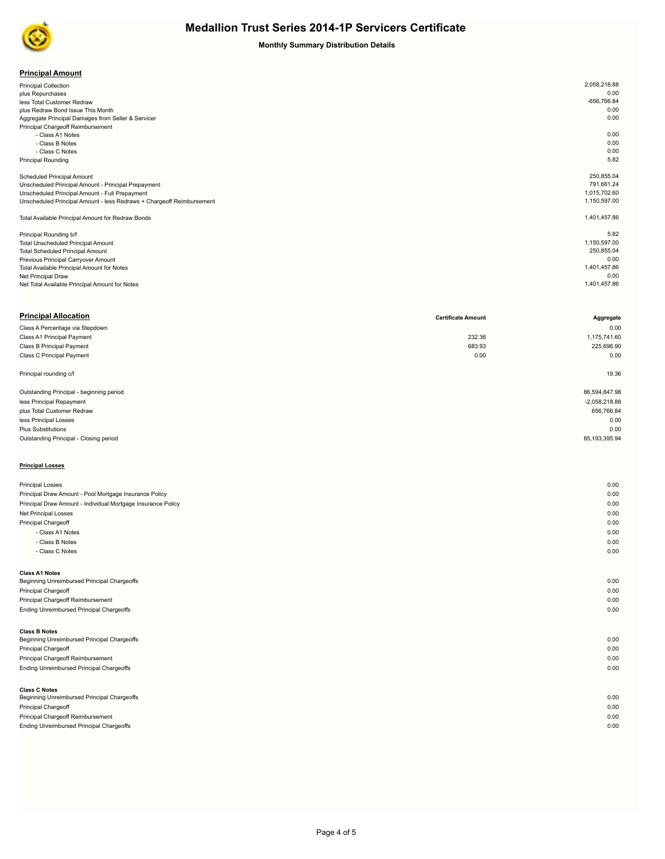

## **Monthly Summary Distribution Details**

| <b>Principal Amount</b> |
|-------------------------|
|-------------------------|

| <b>Principal Collection</b>                                           | 2,058,218.88  |
|-----------------------------------------------------------------------|---------------|
| plus Repurchases                                                      | 0.00          |
| less Total Customer Redraw                                            | $-656,766.84$ |
| plus Redraw Bond Issue This Month                                     | 0.00          |
| Aggregate Principal Damages from Seller & Servicer                    | 0.00          |
| Principal Chargeoff Reimbursement                                     |               |
| - Class A1 Notes                                                      | 0.00          |
| - Class B Notes                                                       | 0.00          |
| - Class C Notes                                                       | 0.00          |
| <b>Principal Rounding</b>                                             | 5.82          |
|                                                                       |               |
| <b>Scheduled Principal Amount</b>                                     | 250,855.04    |
| Unscheduled Principal Amount - Principal Prepayment                   | 791.661.24    |
| Unscheduled Principal Amount - Full Prepayment                        | 1,015,702.60  |
| Unscheduled Principal Amount - less Redraws + Chargeoff Reimbursement | 1,150,597.00  |
|                                                                       |               |
| Total Available Principal Amount for Redraw Bonds                     | 1,401,457.86  |
|                                                                       |               |
| Principal Rounding b/f                                                | 5.82          |
| <b>Total Unscheduled Principal Amount</b>                             | 1,150,597.00  |
| <b>Total Scheduled Principal Amount</b>                               | 250,855.04    |
| Previous Principal Carryover Amount                                   | 0.00          |
| Total Available Principal Amount for Notes                            | 1,401,457.86  |
| Net Principal Draw                                                    | 0.00          |
| Net Total Available Principal Amount for Notes                        | 1,401,457.86  |
|                                                                       |               |

| <b>Principal Allocation</b>              | <b>Certificate Amount</b> | Aggregate        |
|------------------------------------------|---------------------------|------------------|
| Class A Percentage via Stepdown          |                           | 0.00             |
| Class A1 Principal Payment               | 232.36                    | 1,175,741.60     |
| Class B Principal Payment                | 683.93                    | 225,696.90       |
| Class C Principal Payment                | 0.00                      | 0.00             |
| Principal rounding c/f                   |                           | 19.36            |
| Outstanding Principal - beginning period |                           | 86,594,847.98    |
| less Principal Repayment                 |                           | $-2,058,218.88$  |
| plus Total Customer Redraw               |                           | 656,766.84       |
| less Principal Losses                    |                           | 0.00             |
| <b>Plus Substitutions</b>                |                           | 0.00             |
| Outstanding Principal - Closing period   |                           | 85, 193, 395. 94 |
| <b>Principal Losses</b>                  |                           |                  |

| <b>Principal Losses</b>                                      | 0.00 |
|--------------------------------------------------------------|------|
| Principal Draw Amount - Pool Mortgage Insurance Policy       | 0.00 |
| Principal Draw Amount - Individual Mortgage Insurance Policy | 0.00 |
| Net Principal Losses                                         | 0.00 |
| Principal Chargeoff                                          | 0.00 |
| - Class A1 Notes                                             | 0.00 |
| - Class B Notes                                              | 0.00 |
| - Class C Notes                                              | 0.00 |
|                                                              |      |
| <b>Class A1 Notes</b>                                        |      |
| Beginning Unreimbursed Principal Chargeoffs                  | 0.00 |
| Principal Chargeoff                                          | 0.00 |
| Principal Chargeoff Reimbursement                            | 0.00 |
| Ending Unreimbursed Principal Chargeoffs                     | 0.00 |
|                                                              |      |
| <b>Class B Notes</b>                                         |      |
| Beginning Unreimbursed Principal Chargeoffs                  | 0.00 |
| Principal Chargeoff                                          | 0.00 |
| Principal Chargeoff Reimbursement                            | 0.00 |
| Ending Unreimbursed Principal Chargeoffs                     | 0.00 |
|                                                              |      |
| <b>Class C Notes</b>                                         |      |
| Beginning Unreimbursed Principal Chargeoffs                  | 0.00 |
| <b>Principal Chargeoff</b>                                   | 0.00 |
| Principal Chargeoff Reimbursement                            | 0.00 |

Ending Unreimbursed Principal Chargeoffs 0.00